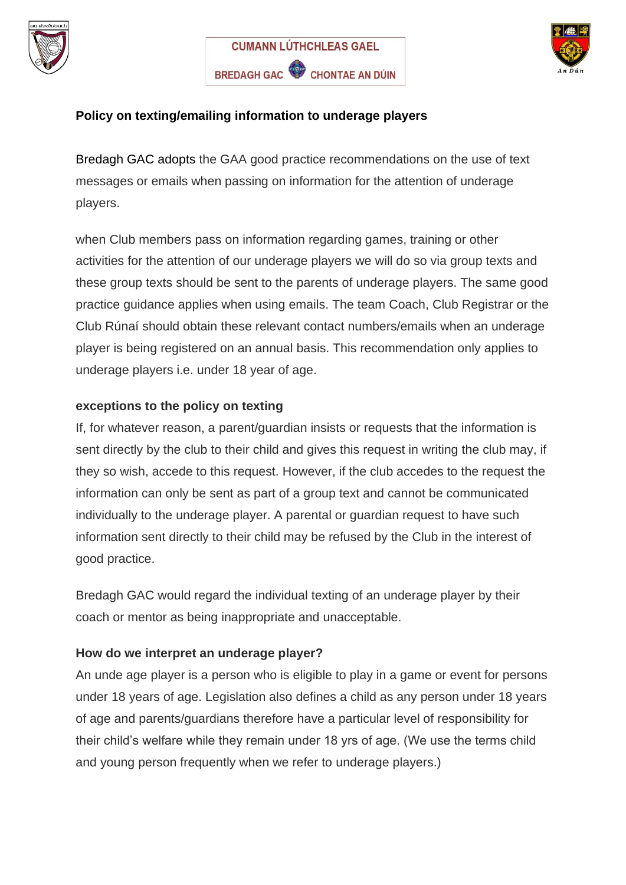





## **Policy on texting/emailing information to underage players**

Bredagh GAC adopts the GAA good practice recommendations on the use of text messages or emails when passing on information for the attention of underage players.

when Club members pass on information regarding games, training or other activities for the attention of our underage players we will do so via group texts and these group texts should be sent to the parents of underage players. The same good practice guidance applies when using emails. The team Coach, Club Registrar or the Club Rúnaí should obtain these relevant contact numbers/emails when an underage player is being registered on an annual basis. This recommendation only applies to underage players i.e. under 18 year of age.

### **exceptions to the policy on texting**

If, for whatever reason, a parent/guardian insists or requests that the information is sent directly by the club to their child and gives this request in writing the club may, if they so wish, accede to this request. However, if the club accedes to the request the information can only be sent as part of a group text and cannot be communicated individually to the underage player. A parental or guardian request to have such information sent directly to their child may be refused by the Club in the interest of good practice.

Bredagh GAC would regard the individual texting of an underage player by their coach or mentor as being inappropriate and unacceptable.

# **How do we interpret an underage player?**

An unde age player is a person who is eligible to play in a game or event for persons under 18 years of age. Legislation also defines a child as any person under 18 years of age and parents/guardians therefore have a particular level of responsibility for their child's welfare while they remain under 18 yrs of age. (We use the terms child and young person frequently when we refer to underage players.)